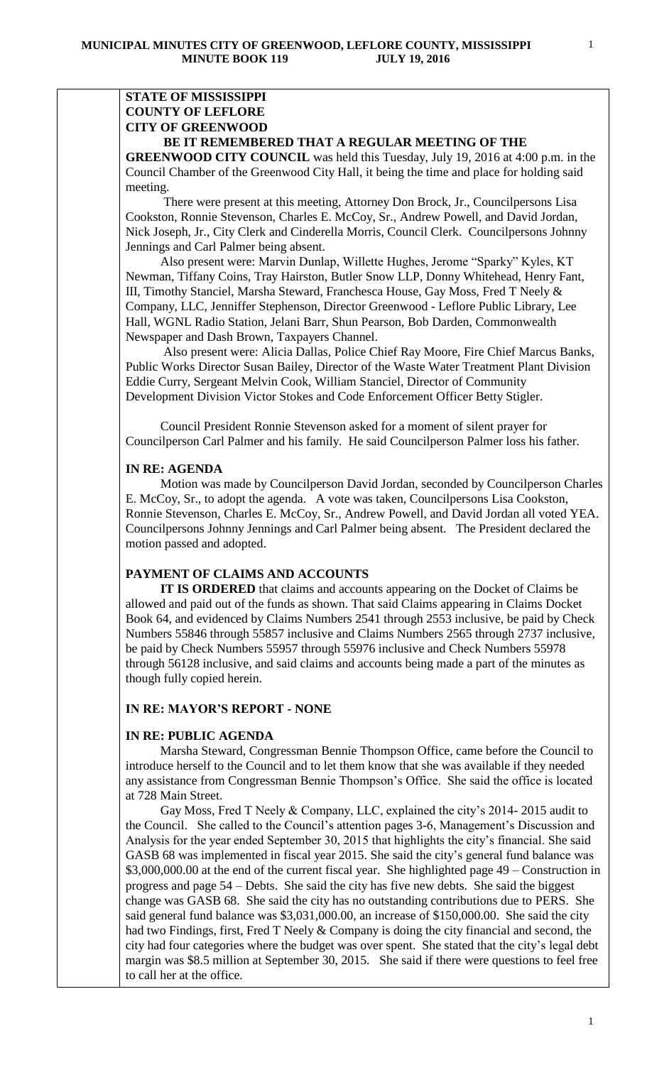# **STATE OF MISSISSIPPI COUNTY OF LEFLORE CITY OF GREENWOOD**

## **BE IT REMEMBERED THAT A REGULAR MEETING OF THE**

**GREENWOOD CITY COUNCIL** was held this Tuesday, July 19, 2016 at 4:00 p.m. in the Council Chamber of the Greenwood City Hall, it being the time and place for holding said meeting.

There were present at this meeting, Attorney Don Brock, Jr., Councilpersons Lisa Cookston, Ronnie Stevenson, Charles E. McCoy, Sr., Andrew Powell, and David Jordan, Nick Joseph, Jr., City Clerk and Cinderella Morris, Council Clerk. Councilpersons Johnny Jennings and Carl Palmer being absent.

 Also present were: Marvin Dunlap, Willette Hughes, Jerome "Sparky" Kyles, KT Newman, Tiffany Coins, Tray Hairston, Butler Snow LLP, Donny Whitehead, Henry Fant, III, Timothy Stanciel, Marsha Steward, Franchesca House, Gay Moss, Fred T Neely & Company, LLC, Jenniffer Stephenson, Director Greenwood - Leflore Public Library, Lee Hall, WGNL Radio Station, Jelani Barr, Shun Pearson, Bob Darden, Commonwealth Newspaper and Dash Brown, Taxpayers Channel.

 Also present were: Alicia Dallas, Police Chief Ray Moore, Fire Chief Marcus Banks, Public Works Director Susan Bailey, Director of the Waste Water Treatment Plant Division Eddie Curry, Sergeant Melvin Cook, William Stanciel, Director of Community Development Division Victor Stokes and Code Enforcement Officer Betty Stigler.

 Council President Ronnie Stevenson asked for a moment of silent prayer for Councilperson Carl Palmer and his family. He said Councilperson Palmer loss his father.

#### **IN RE: AGENDA**

 Motion was made by Councilperson David Jordan, seconded by Councilperson Charles E. McCoy, Sr., to adopt the agenda. A vote was taken, Councilpersons Lisa Cookston, Ronnie Stevenson, Charles E. McCoy, Sr., Andrew Powell, and David Jordan all voted YEA. Councilpersons Johnny Jennings and Carl Palmer being absent. The President declared the motion passed and adopted.

## **PAYMENT OF CLAIMS AND ACCOUNTS**

 **IT IS ORDERED** that claims and accounts appearing on the Docket of Claims be allowed and paid out of the funds as shown. That said Claims appearing in Claims Docket Book 64, and evidenced by Claims Numbers 2541 through 2553 inclusive, be paid by Check Numbers 55846 through 55857 inclusive and Claims Numbers 2565 through 2737 inclusive, be paid by Check Numbers 55957 through 55976 inclusive and Check Numbers 55978 through 56128 inclusive, and said claims and accounts being made a part of the minutes as though fully copied herein.

## **IN RE: MAYOR'S REPORT - NONE**

### **IN RE: PUBLIC AGENDA**

 Marsha Steward, Congressman Bennie Thompson Office, came before the Council to introduce herself to the Council and to let them know that she was available if they needed any assistance from Congressman Bennie Thompson's Office. She said the office is located at 728 Main Street.

 Gay Moss, Fred T Neely & Company, LLC, explained the city's 2014- 2015 audit to the Council. She called to the Council's attention pages 3-6, Management's Discussion and Analysis for the year ended September 30, 2015 that highlights the city's financial. She said GASB 68 was implemented in fiscal year 2015. She said the city's general fund balance was \$3,000,000.00 at the end of the current fiscal year. She highlighted page 49 – Construction in progress and page 54 – Debts. She said the city has five new debts. She said the biggest change was GASB 68. She said the city has no outstanding contributions due to PERS. She said general fund balance was \$3,031,000.00, an increase of \$150,000.00. She said the city had two Findings, first, Fred T Neely & Company is doing the city financial and second, the city had four categories where the budget was over spent. She stated that the city's legal debt margin was \$8.5 million at September 30, 2015. She said if there were questions to feel free to call her at the office.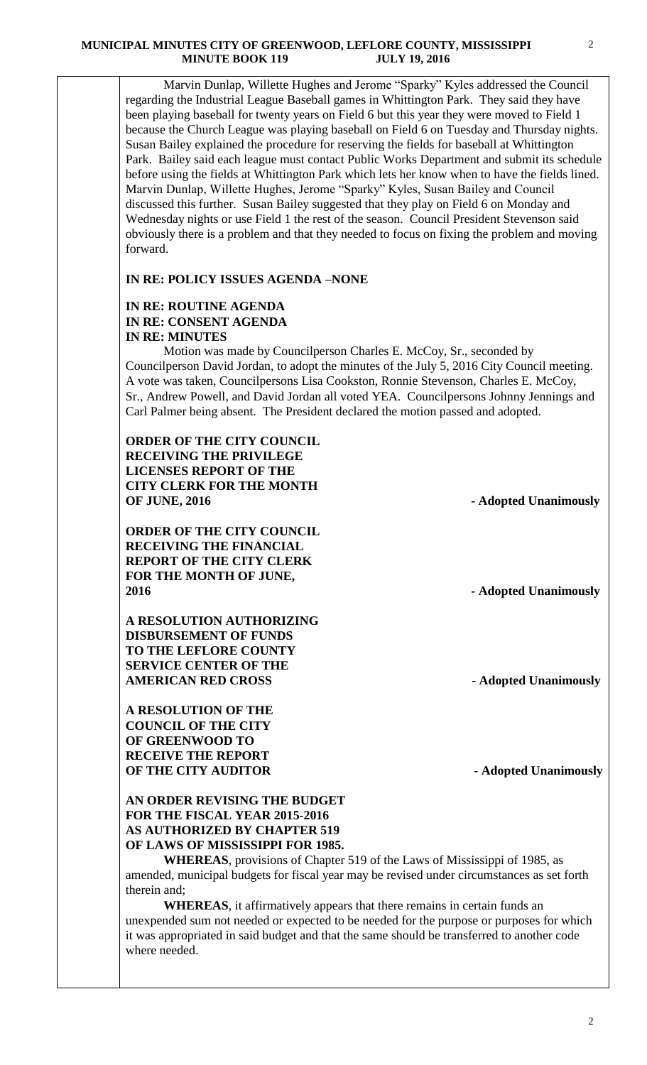Marvin Dunlap, Willette Hughes and Jerome "Sparky" Kyles addressed the Council regarding the Industrial League Baseball games in Whittington Park. They said they have been playing baseball for twenty years on Field 6 but this year they were moved to Field 1 because the Church League was playing baseball on Field 6 on Tuesday and Thursday nights. Susan Bailey explained the procedure for reserving the fields for baseball at Whittington Park. Bailey said each league must contact Public Works Department and submit its schedule before using the fields at Whittington Park which lets her know when to have the fields lined. Marvin Dunlap, Willette Hughes, Jerome "Sparky" Kyles, Susan Bailey and Council discussed this further. Susan Bailey suggested that they play on Field 6 on Monday and Wednesday nights or use Field 1 the rest of the season. Council President Stevenson said obviously there is a problem and that they needed to focus on fixing the problem and moving forward.

## **IN RE: POLICY ISSUES AGENDA –NONE**

## **IN RE: ROUTINE AGENDA IN RE: CONSENT AGENDA IN RE: MINUTES**

 Motion was made by Councilperson Charles E. McCoy, Sr., seconded by Councilperson David Jordan, to adopt the minutes of the July 5, 2016 City Council meeting. A vote was taken, Councilpersons Lisa Cookston, Ronnie Stevenson, Charles E. McCoy, Sr., Andrew Powell, and David Jordan all voted YEA. Councilpersons Johnny Jennings and Carl Palmer being absent. The President declared the motion passed and adopted.

**ORDER OF THE CITY COUNCIL RECEIVING THE PRIVILEGE LICENSES REPORT OF THE CITY CLERK FOR THE MONTH OF JUNE, 2016** - **Adopted Unanimously** 

**ORDER OF THE CITY COUNCIL RECEIVING THE FINANCIAL REPORT OF THE CITY CLERK FOR THE MONTH OF JUNE, 2016 - Adopted Unanimously**

**A RESOLUTION AUTHORIZING DISBURSEMENT OF FUNDS TO THE LEFLORE COUNTY SERVICE CENTER OF THE AMERICAN RED CROSS** - **Adopted Unanimously** 

**A RESOLUTION OF THE COUNCIL OF THE CITY OF GREENWOOD TO RECEIVE THE REPORT OF THE CITY AUDITOR** - **Adopted Unanimously** 

# **AN ORDER REVISING THE BUDGET FOR THE FISCAL YEAR 2015-2016 AS AUTHORIZED BY CHAPTER 519 OF LAWS OF MISSISSIPPI FOR 1985.**

**WHEREAS**, provisions of Chapter 519 of the Laws of Mississippi of 1985, as amended, municipal budgets for fiscal year may be revised under circumstances as set forth therein and;

**WHEREAS**, it affirmatively appears that there remains in certain funds an unexpended sum not needed or expected to be needed for the purpose or purposes for which it was appropriated in said budget and that the same should be transferred to another code where needed.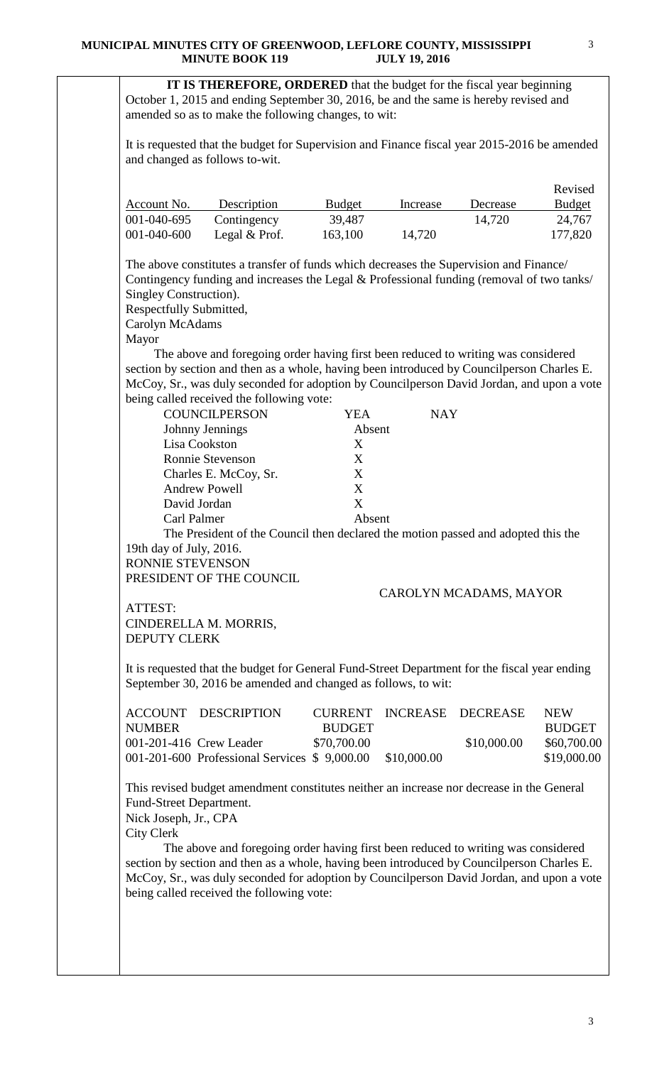**IT IS THEREFORE, ORDERED** that the budget for the fiscal year beginning October 1, 2015 and ending September 30, 2016, be and the same is hereby revised and amended so as to make the following changes, to wit:

It is requested that the budget for Supervision and Finance fiscal year 2015-2016 be amended and changed as follows to-wit.

|             |                 |               |          |          | Revised       |
|-------------|-----------------|---------------|----------|----------|---------------|
| Account No. | Description     | <b>Budget</b> | Increase | Decrease | <b>Budget</b> |
| 001-040-695 | Contingency     | 39,487        |          | 14,720   | 24,767        |
| 001-040-600 | Legal $& Prof.$ | 163,100       | 14,720   |          | 177,820       |

The above constitutes a transfer of funds which decreases the Supervision and Finance/ Contingency funding and increases the Legal & Professional funding (removal of two tanks/ Singley Construction).

Respectfully Submitted,

Carolyn McAdams

Mayor

 The above and foregoing order having first been reduced to writing was considered section by section and then as a whole, having been introduced by Councilperson Charles E. McCoy, Sr., was duly seconded for adoption by Councilperson David Jordan, and upon a vote being called received the following vote:

| <b>COUNCILPERSON</b>  | YEA    | <b>NAY</b> |
|-----------------------|--------|------------|
| Johnny Jennings       | Absent |            |
| Lisa Cookston         | X      |            |
| Ronnie Stevenson      | X      |            |
| Charles E. McCoy, Sr. | X      |            |
| <b>Andrew Powell</b>  | X      |            |
| David Jordan          | X      |            |
| Carl Palmer           | Absent |            |

The President of the Council then declared the motion passed and adopted this the 19th day of July, 2016.

RONNIE STEVENSON PRESIDENT OF THE COUNCIL

## CAROLYN MCADAMS, MAYOR

ATTEST: CINDERELLA M. MORRIS, DEPUTY CLERK

It is requested that the budget for General Fund-Street Department for the fiscal year ending September 30, 2016 be amended and changed as follows, to wit:

|               | ACCOUNT DESCRIPTION                          |               |             | CURRENT INCREASE DECREASE | <b>NEW</b>    |
|---------------|----------------------------------------------|---------------|-------------|---------------------------|---------------|
| <b>NUMBER</b> |                                              | <b>BUDGET</b> |             |                           | <b>BUDGET</b> |
|               | 001-201-416 Crew Leader                      | \$70,700.00   |             | \$10,000.00               | \$60,700.00   |
|               | 001-201-600 Professional Services \$9,000.00 |               | \$10,000.00 |                           | \$19,000.00   |

This revised budget amendment constitutes neither an increase nor decrease in the General Fund-Street Department. Nick Joseph, Jr., CPA

City Clerk

 The above and foregoing order having first been reduced to writing was considered section by section and then as a whole, having been introduced by Councilperson Charles E. McCoy, Sr., was duly seconded for adoption by Councilperson David Jordan, and upon a vote being called received the following vote: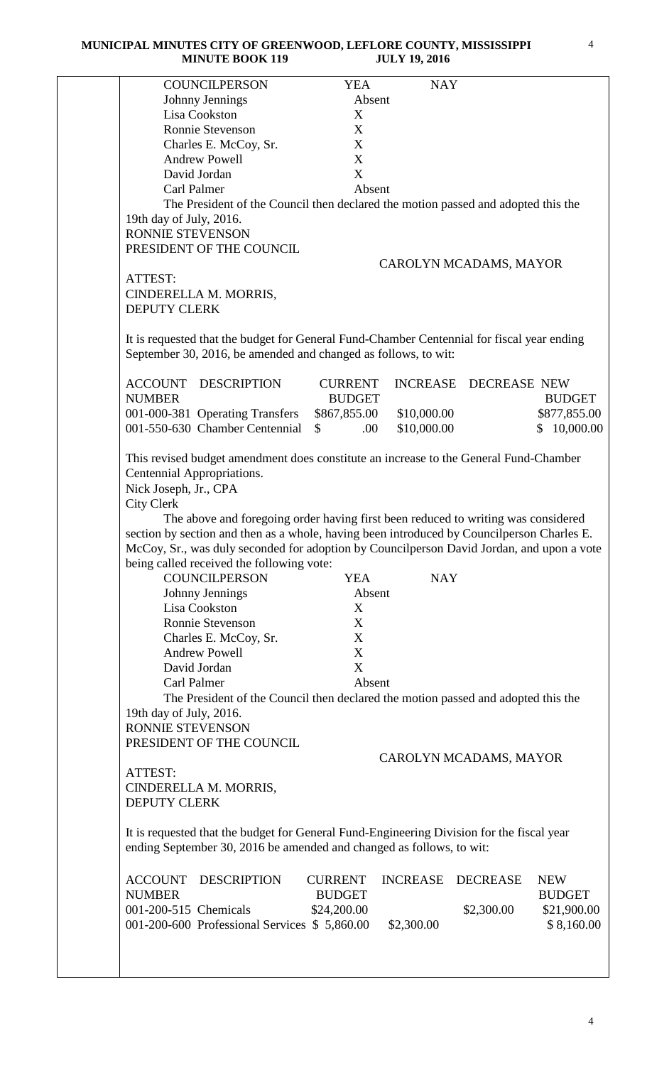|                                                                                                                                                                                                                                                                                                                                                                                                                                                                                                      |                    |                                                         | <b>ULL 17, 2010</b> |                                                                                                                                                                        |                             |
|------------------------------------------------------------------------------------------------------------------------------------------------------------------------------------------------------------------------------------------------------------------------------------------------------------------------------------------------------------------------------------------------------------------------------------------------------------------------------------------------------|--------------------|---------------------------------------------------------|---------------------|------------------------------------------------------------------------------------------------------------------------------------------------------------------------|-----------------------------|
| <b>COUNCILPERSON</b>                                                                                                                                                                                                                                                                                                                                                                                                                                                                                 |                    | <b>YEA</b>                                              | <b>NAY</b>          |                                                                                                                                                                        |                             |
| Johnny Jennings                                                                                                                                                                                                                                                                                                                                                                                                                                                                                      |                    | Absent                                                  |                     |                                                                                                                                                                        |                             |
| Lisa Cookston                                                                                                                                                                                                                                                                                                                                                                                                                                                                                        |                    | X                                                       |                     |                                                                                                                                                                        |                             |
| Ronnie Stevenson                                                                                                                                                                                                                                                                                                                                                                                                                                                                                     |                    | X                                                       |                     |                                                                                                                                                                        |                             |
| Charles E. McCoy, Sr.                                                                                                                                                                                                                                                                                                                                                                                                                                                                                |                    | X                                                       |                     |                                                                                                                                                                        |                             |
| <b>Andrew Powell</b>                                                                                                                                                                                                                                                                                                                                                                                                                                                                                 |                    | X                                                       |                     |                                                                                                                                                                        |                             |
| David Jordan                                                                                                                                                                                                                                                                                                                                                                                                                                                                                         |                    | X                                                       |                     |                                                                                                                                                                        |                             |
| Carl Palmer                                                                                                                                                                                                                                                                                                                                                                                                                                                                                          |                    | Absent                                                  |                     |                                                                                                                                                                        |                             |
|                                                                                                                                                                                                                                                                                                                                                                                                                                                                                                      |                    |                                                         |                     |                                                                                                                                                                        |                             |
|                                                                                                                                                                                                                                                                                                                                                                                                                                                                                                      |                    |                                                         |                     | The President of the Council then declared the motion passed and adopted this the                                                                                      |                             |
| 19th day of July, 2016.                                                                                                                                                                                                                                                                                                                                                                                                                                                                              |                    |                                                         |                     |                                                                                                                                                                        |                             |
| RONNIE STEVENSON                                                                                                                                                                                                                                                                                                                                                                                                                                                                                     |                    |                                                         |                     |                                                                                                                                                                        |                             |
| PRESIDENT OF THE COUNCIL                                                                                                                                                                                                                                                                                                                                                                                                                                                                             |                    |                                                         |                     |                                                                                                                                                                        |                             |
|                                                                                                                                                                                                                                                                                                                                                                                                                                                                                                      |                    |                                                         |                     | CAROLYN MCADAMS, MAYOR                                                                                                                                                 |                             |
| ATTEST:                                                                                                                                                                                                                                                                                                                                                                                                                                                                                              |                    |                                                         |                     |                                                                                                                                                                        |                             |
| CINDERELLA M. MORRIS,                                                                                                                                                                                                                                                                                                                                                                                                                                                                                |                    |                                                         |                     |                                                                                                                                                                        |                             |
| <b>DEPUTY CLERK</b>                                                                                                                                                                                                                                                                                                                                                                                                                                                                                  |                    |                                                         |                     |                                                                                                                                                                        |                             |
| It is requested that the budget for General Fund-Chamber Centennial for fiscal year ending<br>September 30, 2016, be amended and changed as follows, to wit:                                                                                                                                                                                                                                                                                                                                         |                    |                                                         |                     |                                                                                                                                                                        |                             |
| ACCOUNT                                                                                                                                                                                                                                                                                                                                                                                                                                                                                              | <b>DESCRIPTION</b> | <b>CURRENT</b>                                          |                     | INCREASE DECREASE NEW                                                                                                                                                  |                             |
| <b>NUMBER</b>                                                                                                                                                                                                                                                                                                                                                                                                                                                                                        |                    | <b>BUDGET</b>                                           |                     |                                                                                                                                                                        | <b>BUDGET</b>               |
| 001-000-381 Operating Transfers                                                                                                                                                                                                                                                                                                                                                                                                                                                                      |                    | \$867,855.00                                            | \$10,000.00         |                                                                                                                                                                        | \$877,855.00                |
| 001-550-630 Chamber Centennial                                                                                                                                                                                                                                                                                                                                                                                                                                                                       |                    | $\mathbb{S}$<br>.00.                                    | \$10,000.00         |                                                                                                                                                                        | \$10,000.00                 |
| <b>City Clerk</b><br>section by section and then as a whole, having been introduced by Council person Charles E<br>McCoy, Sr., was duly seconded for adoption by Councilperson David Jordan, and upon a vote<br>being called received the following vote:<br><b>COUNCILPERSON</b><br>Johnny Jennings<br>Lisa Cookston<br>Ronnie Stevenson<br>Charles E. McCoy, Sr.<br><b>Andrew Powell</b><br>David Jordan<br>Carl Palmer<br>19th day of July, 2016.<br>RONNIE STEVENSON<br>PRESIDENT OF THE COUNCIL |                    | <b>YEA</b><br>Absent<br>X<br>X<br>X<br>X<br>X<br>Absent | <b>NAY</b>          | The above and foregoing order having first been reduced to writing was considered<br>The President of the Council then declared the motion passed and adopted this the |                             |
|                                                                                                                                                                                                                                                                                                                                                                                                                                                                                                      |                    |                                                         |                     | CAROLYN MCADAMS, MAYOR                                                                                                                                                 |                             |
| ATTEST:                                                                                                                                                                                                                                                                                                                                                                                                                                                                                              |                    |                                                         |                     |                                                                                                                                                                        |                             |
| CINDERELLA M. MORRIS,<br><b>DEPUTY CLERK</b>                                                                                                                                                                                                                                                                                                                                                                                                                                                         |                    |                                                         |                     |                                                                                                                                                                        |                             |
| It is requested that the budget for General Fund-Engineering Division for the fiscal year<br>ending September 30, 2016 be amended and changed as follows, to wit:                                                                                                                                                                                                                                                                                                                                    |                    |                                                         |                     |                                                                                                                                                                        |                             |
| <b>ACCOUNT</b><br><b>NUMBER</b>                                                                                                                                                                                                                                                                                                                                                                                                                                                                      | <b>DESCRIPTION</b> | <b>CURRENT</b><br><b>BUDGET</b>                         | <b>INCREASE</b>     | <b>DECREASE</b>                                                                                                                                                        | <b>NEW</b><br><b>BUDGET</b> |
| 001-200-515 Chemicals                                                                                                                                                                                                                                                                                                                                                                                                                                                                                |                    | \$24,200.00                                             |                     | \$2,300.00                                                                                                                                                             | \$21,900.00                 |
|                                                                                                                                                                                                                                                                                                                                                                                                                                                                                                      |                    |                                                         |                     |                                                                                                                                                                        |                             |
|                                                                                                                                                                                                                                                                                                                                                                                                                                                                                                      |                    |                                                         |                     |                                                                                                                                                                        |                             |
| 001-200-600 Professional Services \$5,860.00                                                                                                                                                                                                                                                                                                                                                                                                                                                         |                    |                                                         | \$2,300.00          |                                                                                                                                                                        | \$8,160.00                  |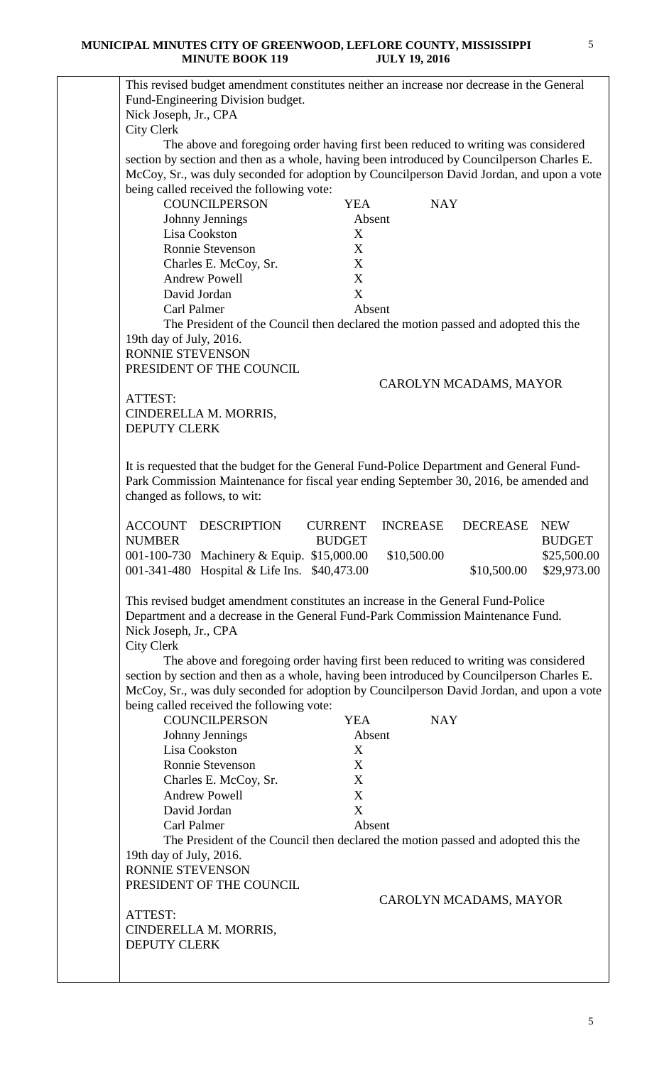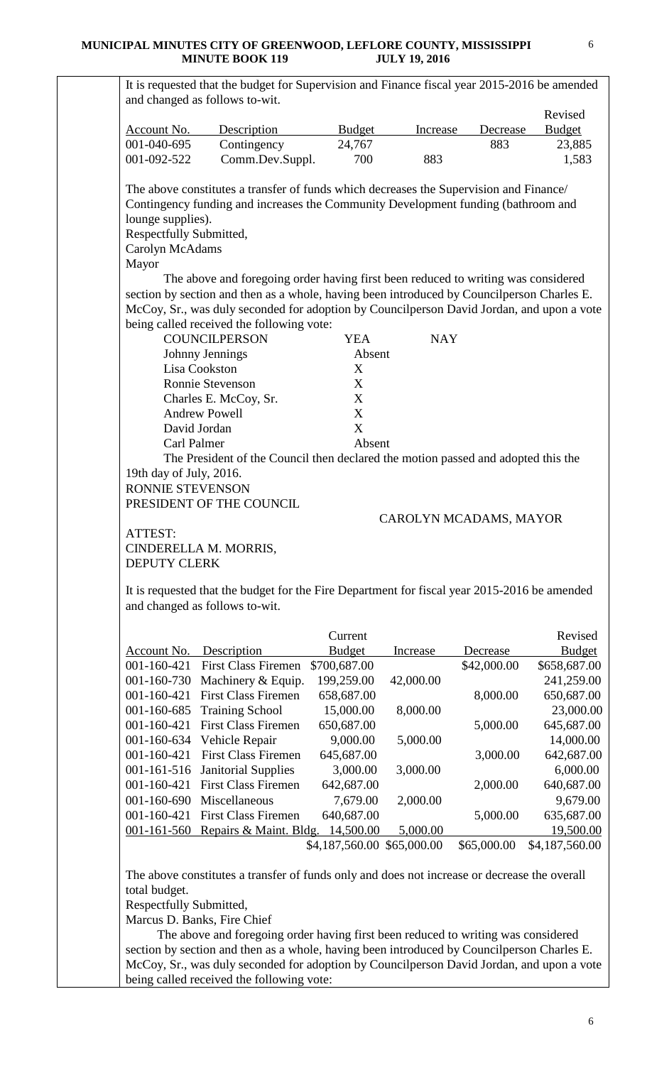| Account No.                                                     | Description                                                                                                                                                                                                                                                                                                               | <b>Budget</b>                           | Increase   | Decrease               | Revised<br><b>Budget</b>                                                                                                                                                          |
|-----------------------------------------------------------------|---------------------------------------------------------------------------------------------------------------------------------------------------------------------------------------------------------------------------------------------------------------------------------------------------------------------------|-----------------------------------------|------------|------------------------|-----------------------------------------------------------------------------------------------------------------------------------------------------------------------------------|
| 001-040-695                                                     | Contingency                                                                                                                                                                                                                                                                                                               | 24,767                                  |            | 883                    | 23,885                                                                                                                                                                            |
| 001-092-522                                                     | Comm.Dev.Suppl.                                                                                                                                                                                                                                                                                                           | 700                                     | 883        |                        | 1,583                                                                                                                                                                             |
| lounge supplies).<br>Respectfully Submitted,<br>Carolyn McAdams | The above constitutes a transfer of funds which decreases the Supervision and Finance/<br>Contingency funding and increases the Community Development funding (bathroom and                                                                                                                                               |                                         |            |                        |                                                                                                                                                                                   |
| Mayor                                                           |                                                                                                                                                                                                                                                                                                                           |                                         |            |                        |                                                                                                                                                                                   |
|                                                                 | The above and foregoing order having first been reduced to writing was considered<br>section by section and then as a whole, having been introduced by Councilperson Charles E.<br>McCoy, Sr., was duly seconded for adoption by Councilperson David Jordan, and upon a vote<br>being called received the following vote: |                                         |            |                        |                                                                                                                                                                                   |
|                                                                 | <b>COUNCILPERSON</b>                                                                                                                                                                                                                                                                                                      | <b>YEA</b>                              | <b>NAY</b> |                        |                                                                                                                                                                                   |
|                                                                 | Johnny Jennings<br>Lisa Cookston                                                                                                                                                                                                                                                                                          | Absent                                  |            |                        |                                                                                                                                                                                   |
|                                                                 |                                                                                                                                                                                                                                                                                                                           | X                                       |            |                        |                                                                                                                                                                                   |
|                                                                 | <b>Ronnie Stevenson</b>                                                                                                                                                                                                                                                                                                   | X                                       |            |                        |                                                                                                                                                                                   |
|                                                                 | Charles E. McCoy, Sr.<br><b>Andrew Powell</b>                                                                                                                                                                                                                                                                             | X                                       |            |                        |                                                                                                                                                                                   |
|                                                                 | David Jordan                                                                                                                                                                                                                                                                                                              | X<br>X                                  |            |                        |                                                                                                                                                                                   |
|                                                                 |                                                                                                                                                                                                                                                                                                                           | Absent                                  |            |                        |                                                                                                                                                                                   |
|                                                                 |                                                                                                                                                                                                                                                                                                                           |                                         |            |                        |                                                                                                                                                                                   |
| Carl Palmer<br>19th day of July, 2016.<br>RONNIE STEVENSON      | The President of the Council then declared the motion passed and adopted this the<br>PRESIDENT OF THE COUNCIL                                                                                                                                                                                                             |                                         |            |                        |                                                                                                                                                                                   |
| ATTEST:<br><b>DEPUTY CLERK</b>                                  | CINDERELLA M. MORRIS,<br>It is requested that the budget for the Fire Department for fiscal year 2015-2016 be amended<br>and changed as follows to-wit.                                                                                                                                                                   |                                         |            | CAROLYN MCADAMS, MAYOR |                                                                                                                                                                                   |
|                                                                 |                                                                                                                                                                                                                                                                                                                           | Current                                 |            |                        | Revised                                                                                                                                                                           |
| Account No.                                                     | Description                                                                                                                                                                                                                                                                                                               | <b>Budget</b>                           | Increase   | Decrease               | <b>Budget</b>                                                                                                                                                                     |
| 001-160-421                                                     | <b>First Class Firemen</b>                                                                                                                                                                                                                                                                                                | \$700,687.00                            |            | \$42,000.00            |                                                                                                                                                                                   |
| 001-160-730                                                     | Machinery & Equip.                                                                                                                                                                                                                                                                                                        | 199,259.00                              | 42,000.00  |                        |                                                                                                                                                                                   |
| 001-160-421                                                     | <b>First Class Firemen</b>                                                                                                                                                                                                                                                                                                | 658,687.00                              |            | 8,000.00               |                                                                                                                                                                                   |
| 001-160-685                                                     | <b>Training School</b>                                                                                                                                                                                                                                                                                                    | 15,000.00                               | 8,000.00   |                        |                                                                                                                                                                                   |
| 001-160-421                                                     | <b>First Class Firemen</b>                                                                                                                                                                                                                                                                                                | 650,687.00                              |            | 5,000.00               |                                                                                                                                                                                   |
| 001-160-634                                                     | Vehicle Repair                                                                                                                                                                                                                                                                                                            | 9,000.00                                | 5,000.00   |                        |                                                                                                                                                                                   |
| 001-160-421                                                     | <b>First Class Firemen</b>                                                                                                                                                                                                                                                                                                | 645,687.00                              |            | 3,000.00               |                                                                                                                                                                                   |
| 001-161-516                                                     | <b>Janitorial Supplies</b>                                                                                                                                                                                                                                                                                                | 3,000.00                                | 3,000.00   |                        |                                                                                                                                                                                   |
| 001-160-421                                                     | <b>First Class Firemen</b>                                                                                                                                                                                                                                                                                                | 642,687.00                              |            | 2,000.00               |                                                                                                                                                                                   |
| 001-160-690                                                     | Miscellaneous                                                                                                                                                                                                                                                                                                             | 7,679.00                                | 2,000.00   |                        |                                                                                                                                                                                   |
| 001-160-421                                                     | <b>First Class Firemen</b>                                                                                                                                                                                                                                                                                                | 640,687.00                              |            | 5,000.00               |                                                                                                                                                                                   |
| $001 - 161 - 560$                                               | Repairs & Maint. Bldg.                                                                                                                                                                                                                                                                                                    | 14,500.00<br>\$4,187,560.00 \$65,000.00 | 5,000.00   | \$65,000.00            |                                                                                                                                                                                   |
|                                                                 | The above constitutes a transfer of funds only and does not increase or decrease the overall                                                                                                                                                                                                                              |                                         |            |                        | \$658,687.00<br>241,259.00<br>650,687.00<br>23,000.00<br>645,687.00<br>14,000.00<br>642,687.00<br>6,000.00<br>640,687.00<br>9,679.00<br>635,687.00<br>19,500.00<br>\$4,187,560.00 |

 The above and foregoing order having first been reduced to writing was considered section by section and then as a whole, having been introduced by Councilperson Charles E. McCoy, Sr., was duly seconded for adoption by Councilperson David Jordan, and upon a vote being called received the following vote:

6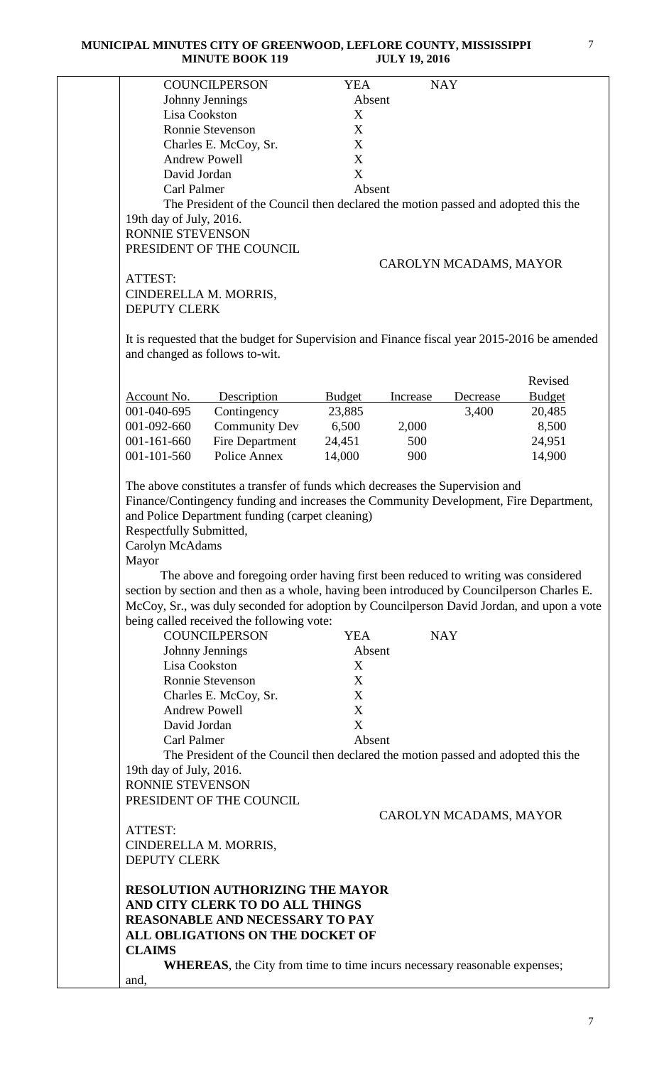|                                            | <b>COUNCILPERSON</b>                                                                                                                                                                                                      | <b>YEA</b>    | <b>NAY</b> |                        |               |
|--------------------------------------------|---------------------------------------------------------------------------------------------------------------------------------------------------------------------------------------------------------------------------|---------------|------------|------------------------|---------------|
|                                            | Johnny Jennings                                                                                                                                                                                                           | Absent        |            |                        |               |
| Lisa Cookston                              |                                                                                                                                                                                                                           | X             |            |                        |               |
|                                            | <b>Ronnie Stevenson</b>                                                                                                                                                                                                   | X             |            |                        |               |
|                                            | Charles E. McCoy, Sr.                                                                                                                                                                                                     | X             |            |                        |               |
|                                            | <b>Andrew Powell</b>                                                                                                                                                                                                      | X             |            |                        |               |
| David Jordan                               |                                                                                                                                                                                                                           | X             |            |                        |               |
| Carl Palmer                                |                                                                                                                                                                                                                           | Absent        |            |                        |               |
|                                            |                                                                                                                                                                                                                           |               |            |                        |               |
|                                            | The President of the Council then declared the motion passed and adopted this the                                                                                                                                         |               |            |                        |               |
| 19th day of July, 2016.                    |                                                                                                                                                                                                                           |               |            |                        |               |
| RONNIE STEVENSON                           |                                                                                                                                                                                                                           |               |            |                        |               |
|                                            | PRESIDENT OF THE COUNCIL                                                                                                                                                                                                  |               |            |                        |               |
|                                            |                                                                                                                                                                                                                           |               |            | CAROLYN MCADAMS, MAYOR |               |
| ATTEST:                                    |                                                                                                                                                                                                                           |               |            |                        |               |
| CINDERELLA M. MORRIS,                      |                                                                                                                                                                                                                           |               |            |                        |               |
| <b>DEPUTY CLERK</b>                        |                                                                                                                                                                                                                           |               |            |                        |               |
|                                            |                                                                                                                                                                                                                           |               |            |                        |               |
|                                            | It is requested that the budget for Supervision and Finance fiscal year 2015-2016 be amended<br>and changed as follows to-wit.                                                                                            |               |            |                        |               |
|                                            |                                                                                                                                                                                                                           |               |            |                        |               |
|                                            |                                                                                                                                                                                                                           |               |            |                        | Revised       |
| <b>Account No.</b>                         | Description                                                                                                                                                                                                               | <b>Budget</b> | Increase   | Decrease               | <b>Budget</b> |
| 001-040-695                                | Contingency                                                                                                                                                                                                               | 23,885        |            | 3,400                  | 20,485        |
| 001-092-660                                | <b>Community Dev</b>                                                                                                                                                                                                      | 6,500         | 2,000      |                        | 8,500         |
|                                            |                                                                                                                                                                                                                           |               |            |                        |               |
| 001-161-660                                | Fire Department                                                                                                                                                                                                           | 24,451        | 500        |                        | 24,951        |
| 001-101-560                                | Police Annex                                                                                                                                                                                                              | 14,000        | 900        |                        | 14,900        |
| Respectfully Submitted,<br>Carolyn McAdams | The above constitutes a transfer of funds which decreases the Supervision and<br>Finance/Contingency funding and increases the Community Development, Fire Department,<br>and Police Department funding (carpet cleaning) |               |            |                        |               |
|                                            |                                                                                                                                                                                                                           |               |            |                        |               |
| Mayor                                      |                                                                                                                                                                                                                           |               |            |                        |               |
|                                            | The above and foregoing order having first been reduced to writing was considered                                                                                                                                         |               |            |                        |               |
|                                            | section by section and then as a whole, having been introduced by Councilperson Charles E.                                                                                                                                |               |            |                        |               |
|                                            | McCoy, Sr., was duly seconded for adoption by Councilperson David Jordan, and upon a vote                                                                                                                                 |               |            |                        |               |
|                                            | being called received the following vote:                                                                                                                                                                                 |               |            |                        |               |
|                                            | <b>COUNCILPERSON</b>                                                                                                                                                                                                      | <b>YEA</b>    |            | <b>NAY</b>             |               |
|                                            | Johnny Jennings                                                                                                                                                                                                           | Absent        |            |                        |               |
| Lisa Cookston                              |                                                                                                                                                                                                                           | X             |            |                        |               |
|                                            | <b>Ronnie Stevenson</b>                                                                                                                                                                                                   | X             |            |                        |               |
|                                            | Charles E. McCoy, Sr.                                                                                                                                                                                                     | X             |            |                        |               |
|                                            | <b>Andrew Powell</b>                                                                                                                                                                                                      | X             |            |                        |               |
| David Jordan                               |                                                                                                                                                                                                                           | X             |            |                        |               |
| Carl Palmer                                |                                                                                                                                                                                                                           | Absent        |            |                        |               |
|                                            |                                                                                                                                                                                                                           |               |            |                        |               |
|                                            | The President of the Council then declared the motion passed and adopted this the                                                                                                                                         |               |            |                        |               |
| 19th day of July, 2016.                    |                                                                                                                                                                                                                           |               |            |                        |               |
| RONNIE STEVENSON                           |                                                                                                                                                                                                                           |               |            |                        |               |
|                                            | PRESIDENT OF THE COUNCIL                                                                                                                                                                                                  |               |            |                        |               |
|                                            |                                                                                                                                                                                                                           |               |            | CAROLYN MCADAMS, MAYOR |               |
| ATTEST:                                    |                                                                                                                                                                                                                           |               |            |                        |               |
| CINDERELLA M. MORRIS,                      |                                                                                                                                                                                                                           |               |            |                        |               |
| <b>DEPUTY CLERK</b>                        |                                                                                                                                                                                                                           |               |            |                        |               |
|                                            |                                                                                                                                                                                                                           |               |            |                        |               |
|                                            | <b>RESOLUTION AUTHORIZING THE MAYOR</b>                                                                                                                                                                                   |               |            |                        |               |
|                                            | AND CITY CLERK TO DO ALL THINGS                                                                                                                                                                                           |               |            |                        |               |
|                                            | <b>REASONABLE AND NECESSARY TO PAY</b>                                                                                                                                                                                    |               |            |                        |               |
|                                            | ALL OBLIGATIONS ON THE DOCKET OF                                                                                                                                                                                          |               |            |                        |               |
| <b>CLAIMS</b>                              |                                                                                                                                                                                                                           |               |            |                        |               |
|                                            | <b>WHEREAS</b> , the City from time to time incurs necessary reasonable expenses;                                                                                                                                         |               |            |                        |               |
| and,                                       |                                                                                                                                                                                                                           |               |            |                        |               |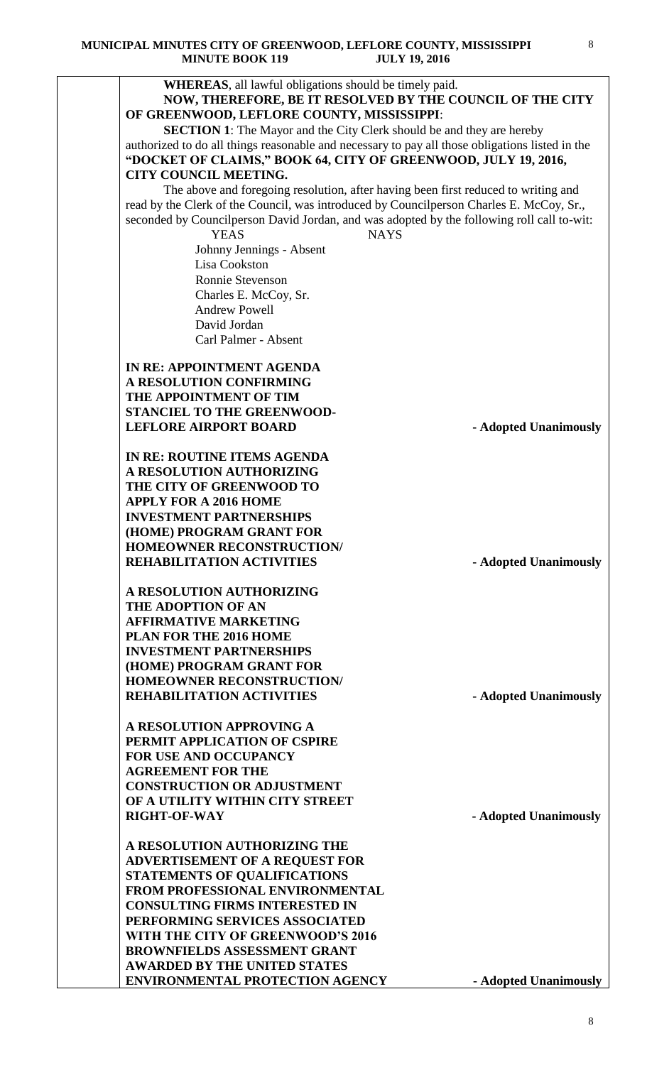| <b>WHEREAS</b> , all lawful obligations should be timely paid.                                  |                       |
|-------------------------------------------------------------------------------------------------|-----------------------|
| NOW, THEREFORE, BE IT RESOLVED BY THE COUNCIL OF THE CITY                                       |                       |
| OF GREENWOOD, LEFLORE COUNTY, MISSISSIPPI:                                                      |                       |
| <b>SECTION 1:</b> The Mayor and the City Clerk should be and they are hereby                    |                       |
| authorized to do all things reasonable and necessary to pay all those obligations listed in the |                       |
| "DOCKET OF CLAIMS," BOOK 64, CITY OF GREENWOOD, JULY 19, 2016,                                  |                       |
| <b>CITY COUNCIL MEETING.</b>                                                                    |                       |
| The above and foregoing resolution, after having been first reduced to writing and              |                       |
| read by the Clerk of the Council, was introduced by Councilperson Charles E. McCoy, Sr.,        |                       |
| seconded by Councilperson David Jordan, and was adopted by the following roll call to-wit:      |                       |
| <b>YEAS</b><br><b>NAYS</b>                                                                      |                       |
| Johnny Jennings - Absent                                                                        |                       |
| Lisa Cookston                                                                                   |                       |
| Ronnie Stevenson                                                                                |                       |
| Charles E. McCoy, Sr.                                                                           |                       |
| <b>Andrew Powell</b>                                                                            |                       |
| David Jordan                                                                                    |                       |
| Carl Palmer - Absent                                                                            |                       |
|                                                                                                 |                       |
| IN RE: APPOINTMENT AGENDA                                                                       |                       |
| A RESOLUTION CONFIRMING                                                                         |                       |
| THE APPOINTMENT OF TIM                                                                          |                       |
| STANCIEL TO THE GREENWOOD-<br><b>LEFLORE AIRPORT BOARD</b>                                      | - Adopted Unanimously |
|                                                                                                 |                       |
| IN RE: ROUTINE ITEMS AGENDA                                                                     |                       |
| A RESOLUTION AUTHORIZING                                                                        |                       |
| THE CITY OF GREENWOOD TO                                                                        |                       |
| <b>APPLY FOR A 2016 HOME</b>                                                                    |                       |
| <b>INVESTMENT PARTNERSHIPS</b>                                                                  |                       |
| (HOME) PROGRAM GRANT FOR                                                                        |                       |
| <b>HOMEOWNER RECONSTRUCTION/</b>                                                                |                       |
| <b>REHABILITATION ACTIVITIES</b>                                                                | - Adopted Unanimously |
| A RESOLUTION AUTHORIZING                                                                        |                       |
| <b>THE ADOPTION OF AN</b>                                                                       |                       |
| <b>AFFIRMATIVE MARKETING</b>                                                                    |                       |
| <b>PLAN FOR THE 2016 HOME</b>                                                                   |                       |
| <b>INVESTMENT PARTNERSHIPS</b>                                                                  |                       |
| (HOME) PROGRAM GRANT FOR                                                                        |                       |
| <b>HOMEOWNER RECONSTRUCTION/</b>                                                                |                       |
| <b>REHABILITATION ACTIVITIES</b>                                                                | - Adopted Unanimously |
|                                                                                                 |                       |
| A RESOLUTION APPROVING A                                                                        |                       |
| PERMIT APPLICATION OF CSPIRE                                                                    |                       |
| <b>FOR USE AND OCCUPANCY</b>                                                                    |                       |
| <b>AGREEMENT FOR THE</b>                                                                        |                       |
| <b>CONSTRUCTION OR ADJUSTMENT</b>                                                               |                       |
| OF A UTILITY WITHIN CITY STREET                                                                 |                       |
| <b>RIGHT-OF-WAY</b>                                                                             | - Adopted Unanimously |
| A RESOLUTION AUTHORIZING THE                                                                    |                       |
| <b>ADVERTISEMENT OF A REQUEST FOR</b>                                                           |                       |
| <b>STATEMENTS OF QUALIFICATIONS</b>                                                             |                       |
| FROM PROFESSIONAL ENVIRONMENTAL                                                                 |                       |
| <b>CONSULTING FIRMS INTERESTED IN</b>                                                           |                       |
| PERFORMING SERVICES ASSOCIATED                                                                  |                       |
| WITH THE CITY OF GREENWOOD'S 2016                                                               |                       |
| <b>BROWNFIELDS ASSESSMENT GRANT</b>                                                             |                       |
| <b>AWARDED BY THE UNITED STATES</b>                                                             |                       |
| <b>ENVIRONMENTAL PROTECTION AGENCY</b>                                                          | - Adopted Unanimously |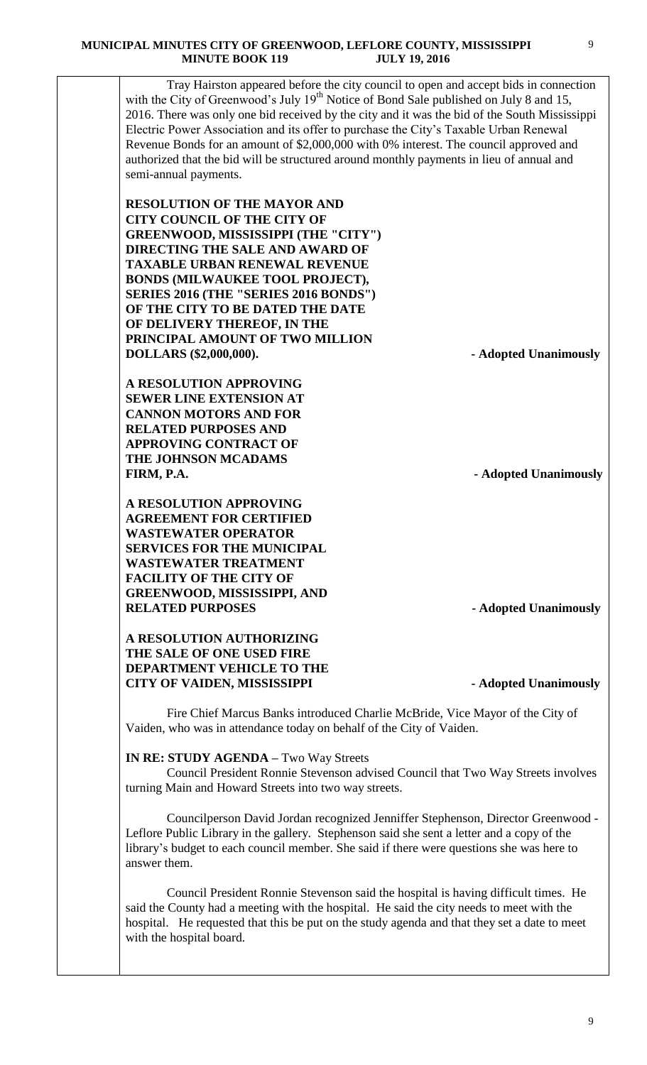Tray Hairston appeared before the city council to open and accept bids in connection with the City of Greenwood's July  $19<sup>th</sup>$  Notice of Bond Sale published on July 8 and 15, 2016. There was only one bid received by the city and it was the bid of the South Mississippi Electric Power Association and its offer to purchase the City's Taxable Urban Renewal Revenue Bonds for an amount of \$2,000,000 with 0% interest. The council approved and authorized that the bid will be structured around monthly payments in lieu of annual and semi-annual payments.

**RESOLUTION OF THE MAYOR AND CITY COUNCIL OF THE CITY OF GREENWOOD, MISSISSIPPI (THE "CITY") DIRECTING THE SALE AND AWARD OF TAXABLE URBAN RENEWAL REVENUE BONDS (MILWAUKEE TOOL PROJECT), SERIES 2016 (THE "SERIES 2016 BONDS") OF THE CITY TO BE DATED THE DATE OF DELIVERY THEREOF, IN THE PRINCIPAL AMOUNT OF TWO MILLION DOLLARS (\$2,000,000). - Adopted Unanimously**

**A RESOLUTION APPROVING SEWER LINE EXTENSION AT CANNON MOTORS AND FOR RELATED PURPOSES AND APPROVING CONTRACT OF THE JOHNSON MCADAMS FIRM, P.A. - Adopted Unanimously**

**A RESOLUTION APPROVING AGREEMENT FOR CERTIFIED WASTEWATER OPERATOR SERVICES FOR THE MUNICIPAL WASTEWATER TREATMENT FACILITY OF THE CITY OF GREENWOOD, MISSISSIPPI, AND RELATED PURPOSES - Adopted Unanimously**

**A RESOLUTION AUTHORIZING THE SALE OF ONE USED FIRE DEPARTMENT VEHICLE TO THE CITY OF VAIDEN, MISSISSIPPI - Adopted Unanimously**

Fire Chief Marcus Banks introduced Charlie McBride, Vice Mayor of the City of Vaiden, who was in attendance today on behalf of the City of Vaiden.

## **IN RE: STUDY AGENDA –** Two Way Streets

 Council President Ronnie Stevenson advised Council that Two Way Streets involves turning Main and Howard Streets into two way streets.

 Councilperson David Jordan recognized Jenniffer Stephenson, Director Greenwood - Leflore Public Library in the gallery. Stephenson said she sent a letter and a copy of the library's budget to each council member. She said if there were questions she was here to answer them.

 Council President Ronnie Stevenson said the hospital is having difficult times. He said the County had a meeting with the hospital. He said the city needs to meet with the hospital. He requested that this be put on the study agenda and that they set a date to meet with the hospital board.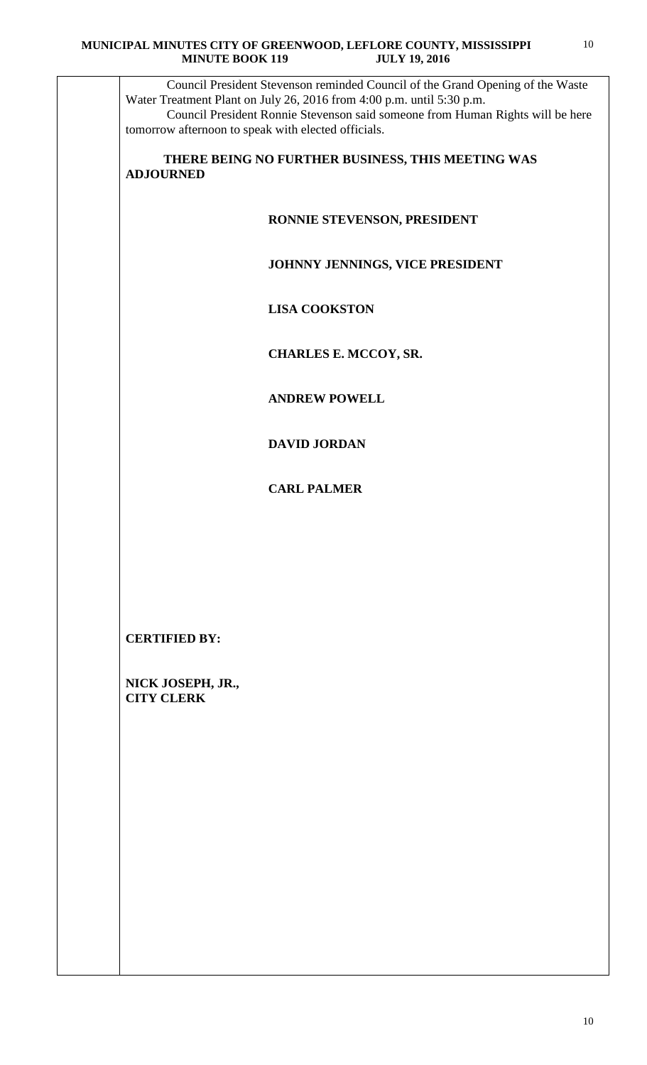Council President Stevenson reminded Council of the Grand Opening of the Waste Water Treatment Plant on July 26, 2016 from 4:00 p.m. until 5:30 p.m. Council President Ronnie Stevenson said someone from Human Rights will be here tomorrow afternoon to speak with elected officials.

 **THERE BEING NO FURTHER BUSINESS, THIS MEETING WAS ADJOURNED** 

## **RONNIE STEVENSON, PRESIDENT**

## **JOHNNY JENNINGS, VICE PRESIDENT**

 **LISA COOKSTON**

 **CHARLES E. MCCOY, SR.** 

 **ANDREW POWELL**

 **DAVID JORDAN**

 **CARL PALMER**

**CERTIFIED BY:**

**NICK JOSEPH, JR., CITY CLERK**